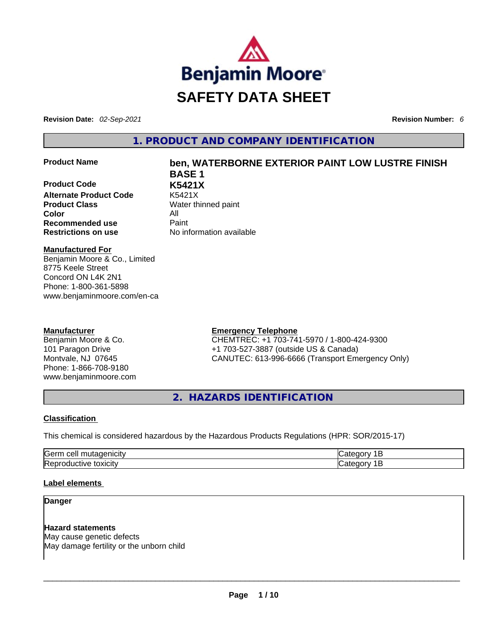

**Revision Date:** *02-Sep-2021* **Revision Number:** *6*

**1. PRODUCT AND COMPANY IDENTIFICATION** 

**Product Code K5421X Alternate Product Code** K5421X **Product Class Water thinned paint Color** All **Recommended use Paint Restrictions on use** No information available

# **Product Name ben, WATERBORNE EXTERIOR PAINT LOW LUSTRE FINISH BASE 1**

**Manufactured For**

Benjamin Moore & Co., Limited 8775 Keele Street Concord ON L4K 2N1 Phone: 1-800-361-5898 www.benjaminmoore.com/en-ca

# **Manufacturer**

Benjamin Moore & Co. 101 Paragon Drive Montvale, NJ 07645 Phone: 1-866-708-9180 www.benjaminmoore.com

# **Emergency Telephone**

CHEMTREC: +1 703-741-5970 / 1-800-424-9300 +1 703-527-3887 (outside US & Canada) CANUTEC: 613-996-6666 (Transport Emergency Only)

**2. HAZARDS IDENTIFICATION** 

# **Classification**

This chemical is considered hazardous by the Hazardous Products Regulations (HPR: SOR/2015-17)

| Gern<br>$\sim$<br>- - - -<br>.<br>ell≏<br>117ء<br>нся |    |
|-------------------------------------------------------|----|
| <b>IRer</b><br>toxicity<br>1V<br>11 H<br>.            | יד |

# **Label elements**

**Danger** 

**Hazard statements** May cause genetic defects May damage fertility or the unborn child \_\_\_\_\_\_\_\_\_\_\_\_\_\_\_\_\_\_\_\_\_\_\_\_\_\_\_\_\_\_\_\_\_\_\_\_\_\_\_\_\_\_\_\_\_\_\_\_\_\_\_\_\_\_\_\_\_\_\_\_\_\_\_\_\_\_\_\_\_\_\_\_\_\_\_\_\_\_\_\_\_\_\_\_\_\_\_\_\_\_\_\_\_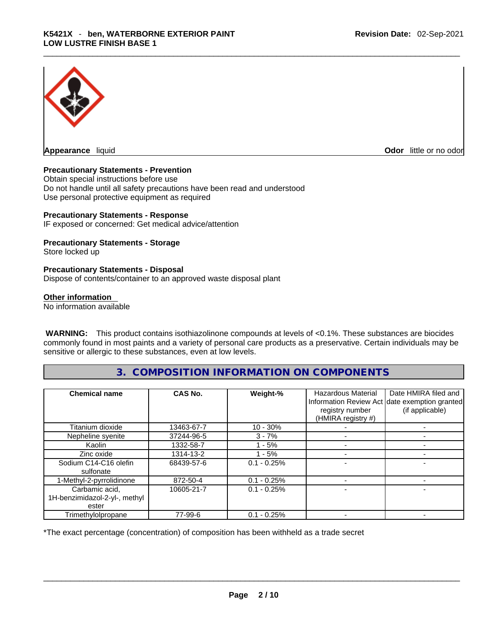

**Odor** little or no odor

### **Precautionary Statements - Prevention**

Obtain special instructions before use Do not handle until all safety precautions have been read and understood Use personal protective equipment as required

#### **Precautionary Statements - Response**

IF exposed or concerned: Get medical advice/attention

#### **Precautionary Statements - Storage**

Store locked up

#### **Precautionary Statements - Disposal**

Dispose of contents/container to an approved waste disposal plant

#### **Other information**

No information available

 **WARNING:** This product contains isothiazolinone compounds at levels of <0.1%. These substances are biocides commonly found in most paints and a variety of personal care products as a preservative. Certain individuals may be sensitive or allergic to these substances, even at low levels.

# **3. COMPOSITION INFORMATION ON COMPONENTS**

| <b>Chemical name</b>                                     | CAS No.    | Weight-%      | <b>Hazardous Material</b><br>registry number<br>(HMIRA registry #) | Date HMIRA filed and<br>Information Review Act date exemption granted<br>(if applicable) |
|----------------------------------------------------------|------------|---------------|--------------------------------------------------------------------|------------------------------------------------------------------------------------------|
| Titanium dioxide                                         | 13463-67-7 | $10 - 30%$    |                                                                    |                                                                                          |
| Nepheline syenite                                        | 37244-96-5 | $3 - 7%$      |                                                                    |                                                                                          |
| Kaolin                                                   | 1332-58-7  | - 5%          |                                                                    |                                                                                          |
| Zinc oxide                                               | 1314-13-2  | - 5%          |                                                                    |                                                                                          |
| Sodium C14-C16 olefin<br>sulfonate                       | 68439-57-6 | $0.1 - 0.25%$ |                                                                    |                                                                                          |
| 1-Methyl-2-pyrrolidinone                                 | 872-50-4   | $0.1 - 0.25%$ |                                                                    |                                                                                          |
| Carbamic acid,<br>1H-benzimidazol-2-yl-, methyl<br>ester | 10605-21-7 | $0.1 - 0.25%$ |                                                                    |                                                                                          |
| Trimethylolpropane                                       | 77-99-6    | $0.1 - 0.25%$ |                                                                    |                                                                                          |

\*The exact percentage (concentration) of composition has been withheld as a trade secret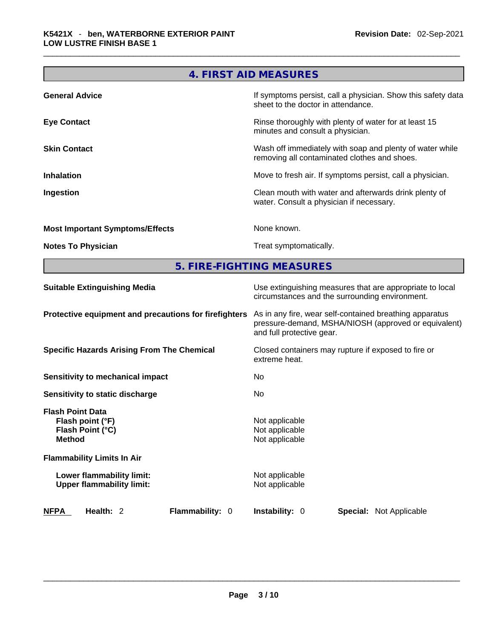|                                        | 4. FIRST AID MEASURES                                                                                    |  |  |  |  |
|----------------------------------------|----------------------------------------------------------------------------------------------------------|--|--|--|--|
| <b>General Advice</b>                  | If symptoms persist, call a physician. Show this safety data<br>sheet to the doctor in attendance.       |  |  |  |  |
| <b>Eye Contact</b>                     | Rinse thoroughly with plenty of water for at least 15<br>minutes and consult a physician.                |  |  |  |  |
| <b>Skin Contact</b>                    | Wash off immediately with soap and plenty of water while<br>removing all contaminated clothes and shoes. |  |  |  |  |
| <b>Inhalation</b>                      | Move to fresh air. If symptoms persist, call a physician.                                                |  |  |  |  |
| Ingestion                              | Clean mouth with water and afterwards drink plenty of<br>water. Consult a physician if necessary.        |  |  |  |  |
| <b>Most Important Symptoms/Effects</b> | None known.                                                                                              |  |  |  |  |
| <b>Notes To Physician</b>              | Treat symptomatically.                                                                                   |  |  |  |  |
| 5. FIRE-FIGHTING MEASURES              |                                                                                                          |  |  |  |  |

| <b>Suitable Extinguishing Media</b>                                              | Use extinguishing measures that are appropriate to local<br>circumstances and the surrounding environment.                                   |  |  |
|----------------------------------------------------------------------------------|----------------------------------------------------------------------------------------------------------------------------------------------|--|--|
| Protective equipment and precautions for firefighters                            | As in any fire, wear self-contained breathing apparatus<br>pressure-demand, MSHA/NIOSH (approved or equivalent)<br>and full protective gear. |  |  |
| <b>Specific Hazards Arising From The Chemical</b>                                | Closed containers may rupture if exposed to fire or<br>extreme heat.                                                                         |  |  |
| Sensitivity to mechanical impact                                                 | No                                                                                                                                           |  |  |
| Sensitivity to static discharge                                                  | No.                                                                                                                                          |  |  |
| <b>Flash Point Data</b><br>Flash point (°F)<br>Flash Point (°C)<br><b>Method</b> | Not applicable<br>Not applicable<br>Not applicable                                                                                           |  |  |
| <b>Flammability Limits In Air</b>                                                |                                                                                                                                              |  |  |
| Lower flammability limit:<br><b>Upper flammability limit:</b>                    | Not applicable<br>Not applicable                                                                                                             |  |  |
| Flammability: 0<br><b>NFPA</b><br>Health: $2$                                    | <b>Instability: 0</b><br><b>Special:</b> Not Applicable                                                                                      |  |  |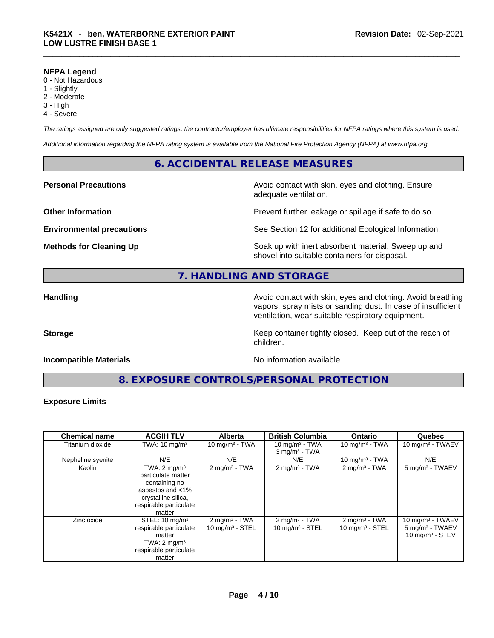#### **NFPA Legend**

- 0 Not Hazardous
- 1 Slightly
- 2 Moderate
- 3 High
- 4 Severe

*The ratings assigned are only suggested ratings, the contractor/employer has ultimate responsibilities for NFPA ratings where this system is used.* 

*Additional information regarding the NFPA rating system is available from the National Fire Protection Agency (NFPA) at www.nfpa.org.* 

# **6. ACCIDENTAL RELEASE MEASURES**

**Personal Precautions Avoid contact with skin, eyes and clothing. Ensure Personal Precautions** adequate ventilation.

**Other Information Discription Prevent further leakage or spillage if safe to do so.** 

**Environmental precautions** See Section 12 for additional Ecological Information.

**Methods for Cleaning Up Soak up with inert absorbent material. Sweep up and** shovel into suitable containers for disposal.

# **7. HANDLING AND STORAGE**

**Handling Handling Avoid contact with skin, eyes and clothing. Avoid breathing** vapors, spray mists or sanding dust. In case of insufficient ventilation, wear suitable respiratory equipment.

**Storage Keep container tightly closed. Keep out of the reach of Keep** container tightly closed. Keep out of the reach of

**Incompatible Materials No information available No** information available

**8. EXPOSURE CONTROLS/PERSONAL PROTECTION** 

children.

#### **Exposure Limits**

| <b>Chemical name</b> | <b>ACGIH TLV</b>                                                                                                                              | <b>Alberta</b>                                 | <b>British Columbia</b>                                | <b>Ontario</b>                                         | Quebec                                                                  |
|----------------------|-----------------------------------------------------------------------------------------------------------------------------------------------|------------------------------------------------|--------------------------------------------------------|--------------------------------------------------------|-------------------------------------------------------------------------|
| Titanium dioxide     | TWA: $10 \text{ mg/m}^3$                                                                                                                      | $10 \text{ mg/m}^3$ - TWA                      | 10 mg/m $3$ - TWA                                      | 10 mg/m $3$ - TWA                                      | 10 mg/m $3$ - TWAEV                                                     |
|                      |                                                                                                                                               |                                                | $3$ mg/m <sup>3</sup> - TWA                            |                                                        |                                                                         |
| Nepheline syenite    | N/E                                                                                                                                           | N/E                                            | N/E                                                    | 10 mg/m $3$ - TWA                                      | N/E                                                                     |
| Kaolin               | TWA: $2 \text{ mg/m}^3$<br>particulate matter<br>containing no<br>asbestos and <1%<br>crystalline silica,<br>respirable particulate<br>matter | $2 \text{mq/m}^3$ - TWA                        | $2 \text{mq/m}^3$ - TWA                                | $2 \text{ mg/m}^3$ - TWA                               | 5 mg/m <sup>3</sup> - TWAEV                                             |
| Zinc oxide           | STEL: $10 \text{ mg/m}^3$<br>respirable particulate<br>matter<br>TWA: $2 \text{ mg/m}^3$<br>respirable particulate<br>matter                  | $2 \text{ mg/m}^3$ - TWA<br>10 $mq/m^3$ - STEL | $2 \text{ mg/m}^3$ - TWA<br>$10 \text{ mg/m}^3$ - STEL | $2 \text{ mg/m}^3$ - TWA<br>$10 \text{ mg/m}^3$ - STEL | 10 mg/m $3$ - TWAEV<br>$5 \text{ mg/m}^3$ - TWAEV<br>10 mg/m $3 -$ STEV |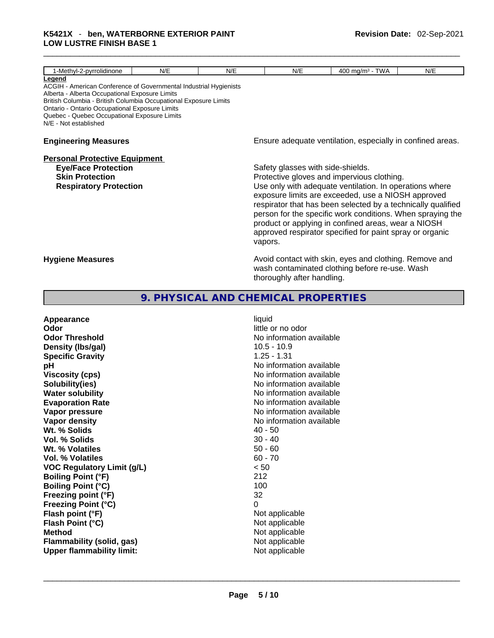| 1-Methyl-2-pyrrolidinone                                                                                                                                                                                                                                                                                                     | N/E | N/E | N/E                                          | 400 mg/m $3$ - TWA                                                                                                                                                                                                                                                                                                                                                                                           | N/E |
|------------------------------------------------------------------------------------------------------------------------------------------------------------------------------------------------------------------------------------------------------------------------------------------------------------------------------|-----|-----|----------------------------------------------|--------------------------------------------------------------------------------------------------------------------------------------------------------------------------------------------------------------------------------------------------------------------------------------------------------------------------------------------------------------------------------------------------------------|-----|
| Legend<br>ACGIH - American Conference of Governmental Industrial Hygienists<br>Alberta - Alberta Occupational Exposure Limits<br>British Columbia - British Columbia Occupational Exposure Limits<br>Ontario - Ontario Occupational Exposure Limits<br>Quebec - Quebec Occupational Exposure Limits<br>N/E - Not established |     |     |                                              |                                                                                                                                                                                                                                                                                                                                                                                                              |     |
| <b>Engineering Measures</b>                                                                                                                                                                                                                                                                                                  |     |     |                                              | Ensure adequate ventilation, especially in confined areas.                                                                                                                                                                                                                                                                                                                                                   |     |
| <b>Personal Protective Equipment</b><br><b>Eye/Face Protection</b><br><b>Skin Protection</b><br><b>Respiratory Protection</b>                                                                                                                                                                                                |     |     | Safety glasses with side-shields.<br>vapors. | Protective gloves and impervious clothing.<br>Use only with adequate ventilation. In operations where<br>exposure limits are exceeded, use a NIOSH approved<br>respirator that has been selected by a technically qualified<br>person for the specific work conditions. When spraying the<br>product or applying in confined areas, wear a NIOSH<br>approved respirator specified for paint spray or organic |     |
| <b>Hygiene Measures</b>                                                                                                                                                                                                                                                                                                      |     |     | thoroughly after handling.                   | Avoid contact with skin, eyes and clothing. Remove and<br>wash contaminated clothing before re-use. Wash                                                                                                                                                                                                                                                                                                     |     |

# **9. PHYSICAL AND CHEMICAL PROPERTIES**

| Appearance                        | liquid                   |
|-----------------------------------|--------------------------|
| Odor                              | little or no odor        |
| <b>Odor Threshold</b>             | No information available |
| Density (Ibs/gal)                 | $10.5 - 10.9$            |
| <b>Specific Gravity</b>           | $1.25 - 1.31$            |
| рH                                | No information available |
| <b>Viscosity (cps)</b>            | No information available |
| Solubility(ies)                   | No information available |
| <b>Water solubility</b>           | No information available |
| <b>Evaporation Rate</b>           | No information available |
| Vapor pressure                    | No information available |
| Vapor density                     | No information available |
| Wt. % Solids                      | $40 - 50$                |
| Vol. % Solids                     | $30 - 40$                |
| Wt. % Volatiles                   | $50 - 60$                |
| <b>Vol. % Volatiles</b>           | $60 - 70$                |
| <b>VOC Regulatory Limit (g/L)</b> | < 50                     |
| <b>Boiling Point (°F)</b>         | 212                      |
| <b>Boiling Point (°C)</b>         | 100                      |
| Freezing point (°F)               | 32                       |
| <b>Freezing Point (°C)</b>        | 0                        |
| Flash point (°F)                  | Not applicable           |
| Flash Point (°C)                  | Not applicable           |
| <b>Method</b>                     | Not applicable           |
| <b>Flammability (solid, gas)</b>  | Not applicable           |
| <b>Upper flammability limit:</b>  | Not applicable           |
|                                   |                          |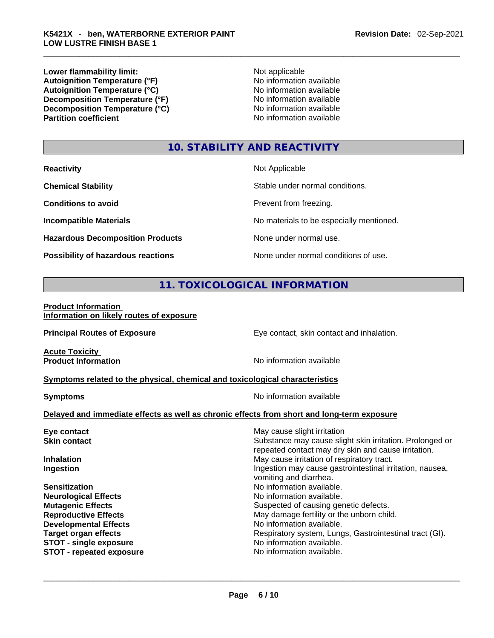**Lower flammability limit:**<br> **Autoignition Temperature (°F)**<br>
Mo information available Autoignition **Temperature** (°F) <br>
Autoignition **Temperature** (°C) <br>
No information available **Autoignition Temperature (°C)**<br> **Decomposition Temperature (°F)** No information available **Decomposition Temperature (°F) Decomposition Temperature (°C)**<br> **Partition coefficient**<br> **Partition coefficient**<br> **No** information available

**No information available** 

# **10. STABILITY AND REACTIVITY**

| <b>Reactivity</b>                         | Not Applicable                           |
|-------------------------------------------|------------------------------------------|
| <b>Chemical Stability</b>                 | Stable under normal conditions.          |
| <b>Conditions to avoid</b>                | Prevent from freezing.                   |
| <b>Incompatible Materials</b>             | No materials to be especially mentioned. |
| <b>Hazardous Decomposition Products</b>   | None under normal use.                   |
| <b>Possibility of hazardous reactions</b> | None under normal conditions of use.     |

# **11. TOXICOLOGICAL INFORMATION**

#### **Product Information Information on likely routes of exposure**

**Principal Routes of Exposure Exposure** Eye contact, skin contact and inhalation.

**Acute Toxicity<br>Product Information** 

**No information available** 

#### **<u>Symptoms related to the physical, chemical and toxicological characteristics</u>**

**Symptoms Symptoms No information available** 

### **Delayed and immediate effects as well as chronic effects from short and long-term exposure**

| Eye contact                     | May cause slight irritation                              |
|---------------------------------|----------------------------------------------------------|
| <b>Skin contact</b>             | Substance may cause slight skin irritation. Prolonged or |
|                                 | repeated contact may dry skin and cause irritation.      |
| <b>Inhalation</b>               | May cause irritation of respiratory tract.               |
| Ingestion                       | Ingestion may cause gastrointestinal irritation, nausea, |
|                                 | vomiting and diarrhea.                                   |
| <b>Sensitization</b>            | No information available.                                |
| <b>Neurological Effects</b>     | No information available.                                |
| <b>Mutagenic Effects</b>        | Suspected of causing genetic defects.                    |
| <b>Reproductive Effects</b>     | May damage fertility or the unborn child.                |
| <b>Developmental Effects</b>    | No information available.                                |
| <b>Target organ effects</b>     | Respiratory system, Lungs, Gastrointestinal tract (GI).  |
| <b>STOT - single exposure</b>   | No information available.                                |
| <b>STOT - repeated exposure</b> | No information available.                                |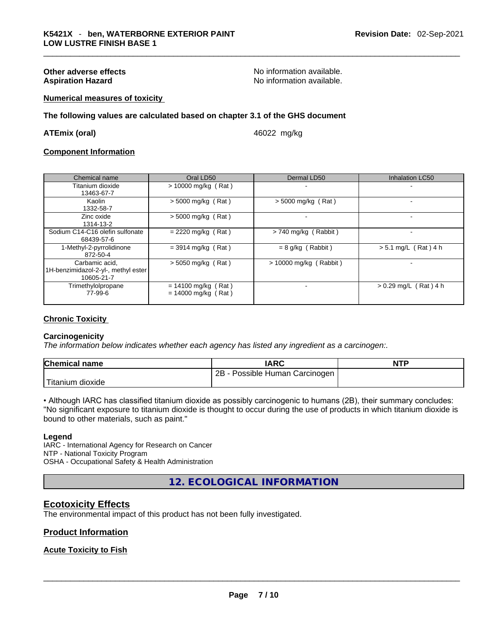**Other adverse effects No information available.** No information available. Aspiration Hazard **Aspiration Hazard No information available.** 

#### **Numerical measures of toxicity**

**The following values are calculated based on chapter 3.1 of the GHS document**

**ATEmix (oral)** 46022 mg/kg

#### **Component Information**

| Chemical name                                                       | Oral LD50                                      | Dermal LD50              | <b>Inhalation LC50</b>  |
|---------------------------------------------------------------------|------------------------------------------------|--------------------------|-------------------------|
| Titanium dioxide<br>13463-67-7                                      | $> 10000$ mg/kg (Rat)                          |                          |                         |
| Kaolin<br>1332-58-7                                                 | $> 5000$ mg/kg (Rat)                           | $>$ 5000 mg/kg (Rat)     |                         |
| Zinc oxide<br>1314-13-2                                             | $>$ 5000 mg/kg (Rat)                           |                          |                         |
| Sodium C14-C16 olefin sulfonate<br>68439-57-6                       | $= 2220$ mg/kg (Rat)                           | $> 740$ mg/kg (Rabbit)   |                         |
| 1-Methyl-2-pyrrolidinone<br>872-50-4                                | $= 3914$ mg/kg (Rat)                           | $= 8$ g/kg (Rabbit)      | $> 5.1$ mg/L (Rat) 4 h  |
| Carbamic acid,<br>1H-benzimidazol-2-yl-, methyl ester<br>10605-21-7 | $>$ 5050 mg/kg (Rat)                           | $> 10000$ mg/kg (Rabbit) |                         |
| Trimethylolpropane<br>77-99-6                                       | $= 14100$ mg/kg (Rat)<br>$= 14000$ mg/kg (Rat) |                          | $> 0.29$ mg/L (Rat) 4 h |

#### **Chronic Toxicity**

#### **Carcinogenicity**

*The information below indicates whether each agency has listed any ingredient as a carcinogen:.* 

| <b>Chemical name</b>          | <b>IARC</b>                       | <b>NTP</b> |
|-------------------------------|-----------------------------------|------------|
|                               | 2B -<br>Possible Human Carcinogen |            |
| <sup>1</sup> Titanium dioxide |                                   |            |

• Although IARC has classified titanium dioxide as possibly carcinogenic to humans (2B), their summary concludes: "No significant exposure to titanium dioxide is thought to occur during the use of products in which titanium dioxide is bound to other materials, such as paint."

#### **Legend**

IARC - International Agency for Research on Cancer NTP - National Toxicity Program OSHA - Occupational Safety & Health Administration

**12. ECOLOGICAL INFORMATION** 

# **Ecotoxicity Effects**

The environmental impact of this product has not been fully investigated.

### **Product Information**

### **Acute Toxicity to Fish**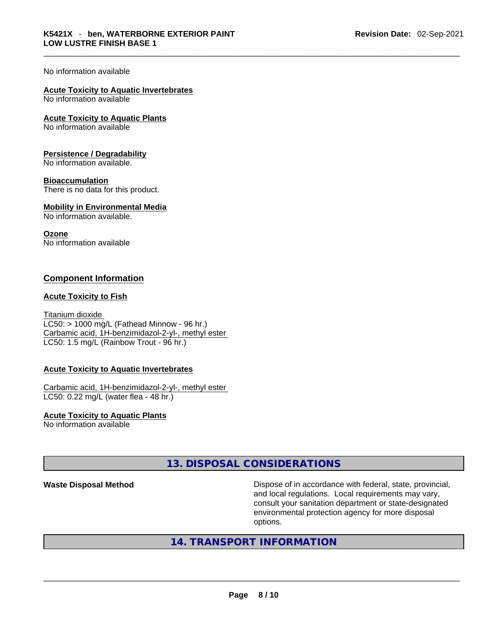### No information available

# **Acute Toxicity to Aquatic Invertebrates**

No information available

**Acute Toxicity to Aquatic Plants**

No information available

#### **Persistence / Degradability**

No information available.

#### **Bioaccumulation**

There is no data for this product.

### **Mobility in Environmental Media**

No information available.

#### **Ozone**

No information available

# **Component Information**

#### **Acute Toxicity to Fish**

Titanium dioxide  $LC50:$  > 1000 mg/L (Fathead Minnow - 96 hr.) Carbamic acid, 1H-benzimidazol-2-yl-, methyl ester LC50: 1.5 mg/L (Rainbow Trout - 96 hr.)

#### **Acute Toxicity to Aquatic Invertebrates**

Carbamic acid, 1H-benzimidazol-2-yl-, methyl ester LC50: 0.22 mg/L (water flea - 48 hr.)

**Acute Toxicity to Aquatic Plants** No information available

# **13. DISPOSAL CONSIDERATIONS**

**Waste Disposal Method** Dispose of in accordance with federal, state, provincial, and local regulations. Local requirements may vary, consult your sanitation department or state-designated environmental protection agency for more disposal options.

# **14. TRANSPORT INFORMATION**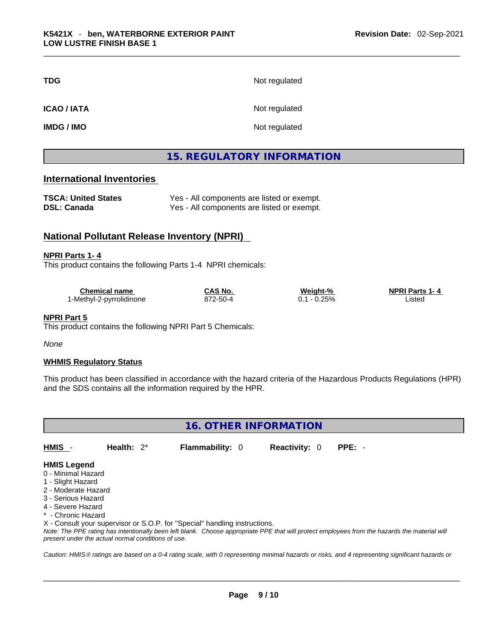| <b>TDG</b>        | Not regulated |
|-------------------|---------------|
| <b>ICAO/IATA</b>  | Not regulated |
| <b>IMDG / IMO</b> | Not regulated |

# **15. REGULATORY INFORMATION**

# **International Inventories**

| <b>TSCA: United States</b> | Yes - All components are listed or exempt. |
|----------------------------|--------------------------------------------|
| <b>DSL: Canada</b>         | Yes - All components are listed or exempt. |

# **National Pollutant Release Inventory (NPRI)**

#### **NPRI Parts 1- 4**

This product contains the following Parts 1-4 NPRI chemicals:

| Chemical name            | CAS No.  | Weiaht-% | <b>NPRI Parts 1-4</b> |
|--------------------------|----------|----------|-----------------------|
| 1-Methyl-2-pyrrolidinone | 872-50-4 | $0.25\%$ | _istec                |

#### **NPRI Part 5**

This product contains the following NPRI Part 5 Chemicals:

*None*

#### **WHMIS Regulatory Status**

This product has been classified in accordance with the hazard criteria of the Hazardous Products Regulations (HPR) and the SDS contains all the information required by the HPR.

| <b>16. OTHER INFORMATION</b>                                                                                                    |               |                        |                      |          |  |
|---------------------------------------------------------------------------------------------------------------------------------|---------------|------------------------|----------------------|----------|--|
| HMIS -                                                                                                                          | Health: $2^*$ | <b>Flammability: 0</b> | <b>Reactivity: 0</b> | $PPE: -$ |  |
| <b>HMIS Legend</b><br>0 - Minimal Hazard<br>1 - Slight Hazard<br>2 - Moderate Hazard<br>3 - Serious Hazard<br>4 - Severe Hazard |               |                        |                      |          |  |

\* - Chronic Hazard

X - Consult your supervisor or S.O.P. for "Special" handling instructions.

Note: The PPE rating has intentionally been left blank. Choose appropriate PPE that will protect employees from the hazards the material will *present under the actual normal conditions of use.* 

*Caution: HMISÒ ratings are based on a 0-4 rating scale, with 0 representing minimal hazards or risks, and 4 representing significant hazards or*